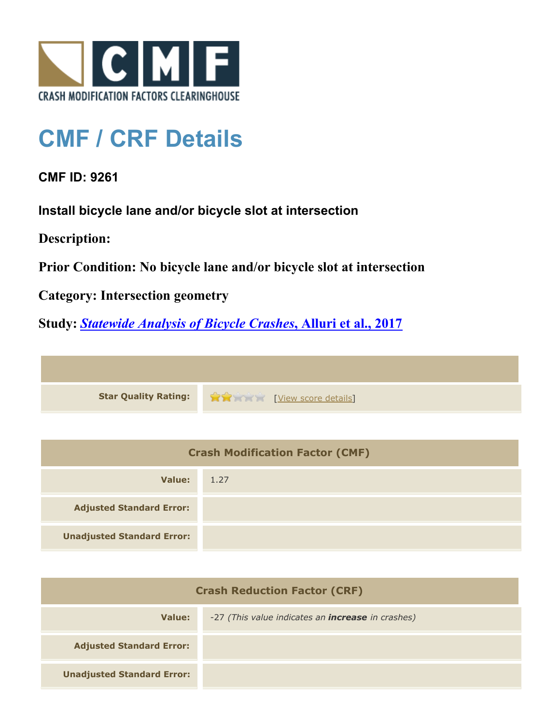

## **CMF / CRF Details**

## **CMF ID: 9261**

**Install bicycle lane and/or bicycle slot at intersection**

**Description:** 

**Prior Condition: No bicycle lane and/or bicycle slot at intersection**

**Category: Intersection geometry**

**Study:** *[Statewide Analysis of Bicycle Crashes](http://www.cmfclearinghouse.org/study_detail.cfm?stid=515)***[, Alluri et al., 2017](http://www.cmfclearinghouse.org/study_detail.cfm?stid=515)**



| <b>Crash Modification Factor (CMF)</b> |      |  |
|----------------------------------------|------|--|
| Value:                                 | 1.27 |  |
| <b>Adjusted Standard Error:</b>        |      |  |
| <b>Unadjusted Standard Error:</b>      |      |  |

| <b>Crash Reduction Factor (CRF)</b> |                                                          |  |
|-------------------------------------|----------------------------------------------------------|--|
| Value:                              | -27 (This value indicates an <b>increase</b> in crashes) |  |
| <b>Adjusted Standard Error:</b>     |                                                          |  |
| <b>Unadjusted Standard Error:</b>   |                                                          |  |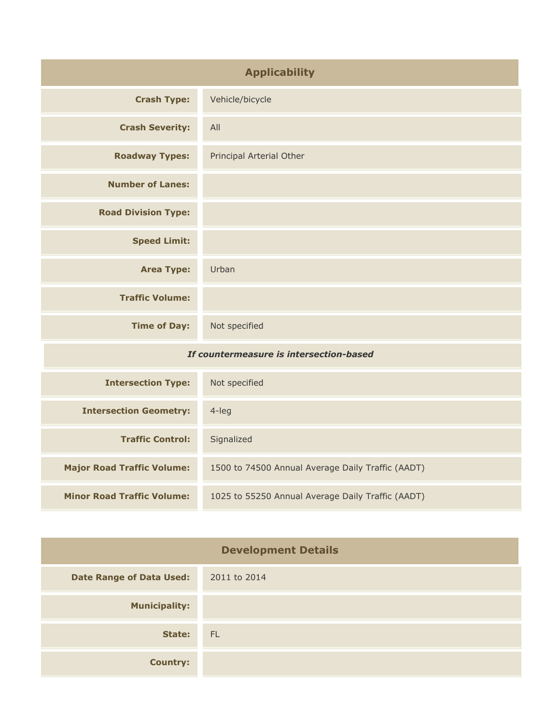| <b>Applicability</b>                    |                          |
|-----------------------------------------|--------------------------|
| <b>Crash Type:</b>                      | Vehicle/bicycle          |
| <b>Crash Severity:</b>                  | All                      |
| <b>Roadway Types:</b>                   | Principal Arterial Other |
| <b>Number of Lanes:</b>                 |                          |
| <b>Road Division Type:</b>              |                          |
| <b>Speed Limit:</b>                     |                          |
| <b>Area Type:</b>                       | Urban                    |
| <b>Traffic Volume:</b>                  |                          |
| <b>Time of Day:</b>                     | Not specified            |
| If countermeasure is intersection-based |                          |

| <b>Intersection Type:</b>         | Not specified                                     |
|-----------------------------------|---------------------------------------------------|
| <b>Intersection Geometry:</b>     | 4-leg                                             |
| <b>Traffic Control:</b>           | Signalized                                        |
| <b>Major Road Traffic Volume:</b> | 1500 to 74500 Annual Average Daily Traffic (AADT) |
| <b>Minor Road Traffic Volume:</b> | 1025 to 55250 Annual Average Daily Traffic (AADT) |

| <b>Development Details</b>      |              |
|---------------------------------|--------------|
| <b>Date Range of Data Used:</b> | 2011 to 2014 |
| <b>Municipality:</b>            |              |
| State:                          | - FL         |
| <b>Country:</b>                 |              |